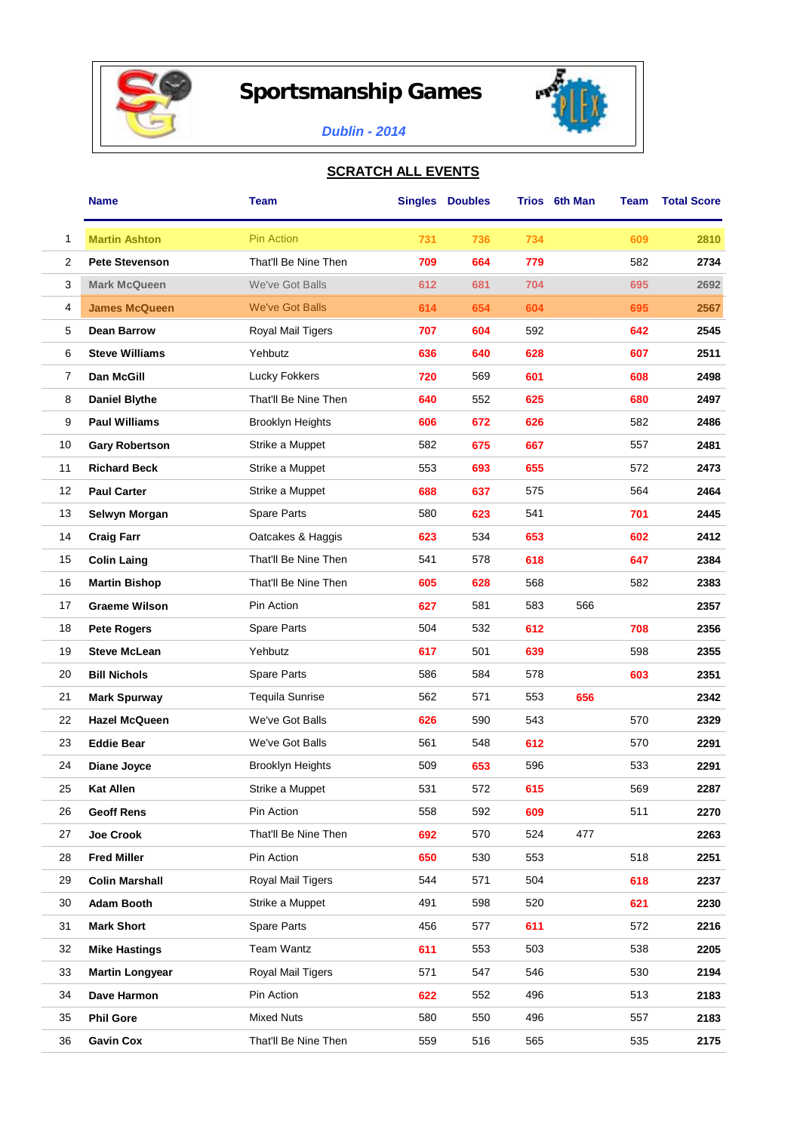

## **Sportsmanship Games**



## *Dublin - 2014*

## **SCRATCH ALL EVENTS**

|                | <b>Name</b>            | Team                    |     | <b>Singles Doubles</b> |     | Trios 6th Man | Team | <b>Total Score</b> |
|----------------|------------------------|-------------------------|-----|------------------------|-----|---------------|------|--------------------|
| 1              | <b>Martin Ashton</b>   | <b>Pin Action</b>       | 731 | 736                    | 734 |               | 609  | 2810               |
| $\overline{2}$ | <b>Pete Stevenson</b>  | That'll Be Nine Then    | 709 | 664                    | 779 |               | 582  | 2734               |
| 3              | <b>Mark McQueen</b>    | We've Got Balls         | 612 | 681                    | 704 |               | 695  | 2692               |
| 4              | <b>James McQueen</b>   | <b>We've Got Balls</b>  | 614 | 654                    | 604 |               | 695  | 2567               |
| 5              | <b>Dean Barrow</b>     | Royal Mail Tigers       | 707 | 604                    | 592 |               | 642  | 2545               |
| 6              | <b>Steve Williams</b>  | Yehbutz                 | 636 | 640                    | 628 |               | 607  | 2511               |
| 7              | Dan McGill             | Lucky Fokkers           | 720 | 569                    | 601 |               | 608  | 2498               |
| 8              | <b>Daniel Blythe</b>   | That'll Be Nine Then    | 640 | 552                    | 625 |               | 680  | 2497               |
| 9              | <b>Paul Williams</b>   | <b>Brooklyn Heights</b> | 606 | 672                    | 626 |               | 582  | 2486               |
| 10             | <b>Gary Robertson</b>  | Strike a Muppet         | 582 | 675                    | 667 |               | 557  | 2481               |
| 11             | <b>Richard Beck</b>    | Strike a Muppet         | 553 | 693                    | 655 |               | 572  | 2473               |
| 12             | <b>Paul Carter</b>     | Strike a Muppet         | 688 | 637                    | 575 |               | 564  | 2464               |
| 13             | Selwyn Morgan          | Spare Parts             | 580 | 623                    | 541 |               | 701  | 2445               |
| 14             | <b>Craig Farr</b>      | Oatcakes & Haggis       | 623 | 534                    | 653 |               | 602  | 2412               |
| 15             | <b>Colin Laing</b>     | That'll Be Nine Then    | 541 | 578                    | 618 |               | 647  | 2384               |
| 16             | <b>Martin Bishop</b>   | That'll Be Nine Then    | 605 | 628                    | 568 |               | 582  | 2383               |
| 17             | <b>Graeme Wilson</b>   | Pin Action              | 627 | 581                    | 583 | 566           |      | 2357               |
| 18             | <b>Pete Rogers</b>     | Spare Parts             | 504 | 532                    | 612 |               | 708  | 2356               |
| 19             | <b>Steve McLean</b>    | Yehbutz                 | 617 | 501                    | 639 |               | 598  | 2355               |
| 20             | <b>Bill Nichols</b>    | Spare Parts             | 586 | 584                    | 578 |               | 603  | 2351               |
| 21             | <b>Mark Spurway</b>    | <b>Tequila Sunrise</b>  | 562 | 571                    | 553 | 656           |      | 2342               |
| 22             | <b>Hazel McQueen</b>   | We've Got Balls         | 626 | 590                    | 543 |               | 570  | 2329               |
| 23             | <b>Eddie Bear</b>      | We've Got Balls         | 561 | 548                    | 612 |               | 570  | 2291               |
| 24             | Diane Joyce            | <b>Brooklyn Heights</b> | 509 | 653                    | 596 |               | 533  | 2291               |
| 25             | <b>Kat Allen</b>       | Strike a Muppet         | 531 | 572                    | 615 |               | 569  | 2287               |
| 26             | <b>Geoff Rens</b>      | Pin Action              | 558 | 592                    | 609 |               | 511  | 2270               |
| 27             | Joe Crook              | That'll Be Nine Then    | 692 | 570                    | 524 | 477           |      | 2263               |
| 28             | <b>Fred Miller</b>     | Pin Action              | 650 | 530                    | 553 |               | 518  | 2251               |
| 29             | <b>Colin Marshall</b>  | Royal Mail Tigers       | 544 | 571                    | 504 |               | 618  | 2237               |
| 30             | <b>Adam Booth</b>      | Strike a Muppet         | 491 | 598                    | 520 |               | 621  | 2230               |
| 31             | <b>Mark Short</b>      | Spare Parts             | 456 | 577                    | 611 |               | 572  | 2216               |
| 32             | <b>Mike Hastings</b>   | Team Wantz              | 611 | 553                    | 503 |               | 538  | 2205               |
| 33             | <b>Martin Longyear</b> | Royal Mail Tigers       | 571 | 547                    | 546 |               | 530  | 2194               |
| 34             | Dave Harmon            | Pin Action              | 622 | 552                    | 496 |               | 513  | 2183               |
| 35             | <b>Phil Gore</b>       | <b>Mixed Nuts</b>       | 580 | 550                    | 496 |               | 557  | 2183               |
| 36             | <b>Gavin Cox</b>       | That'll Be Nine Then    | 559 | 516                    | 565 |               | 535  | 2175               |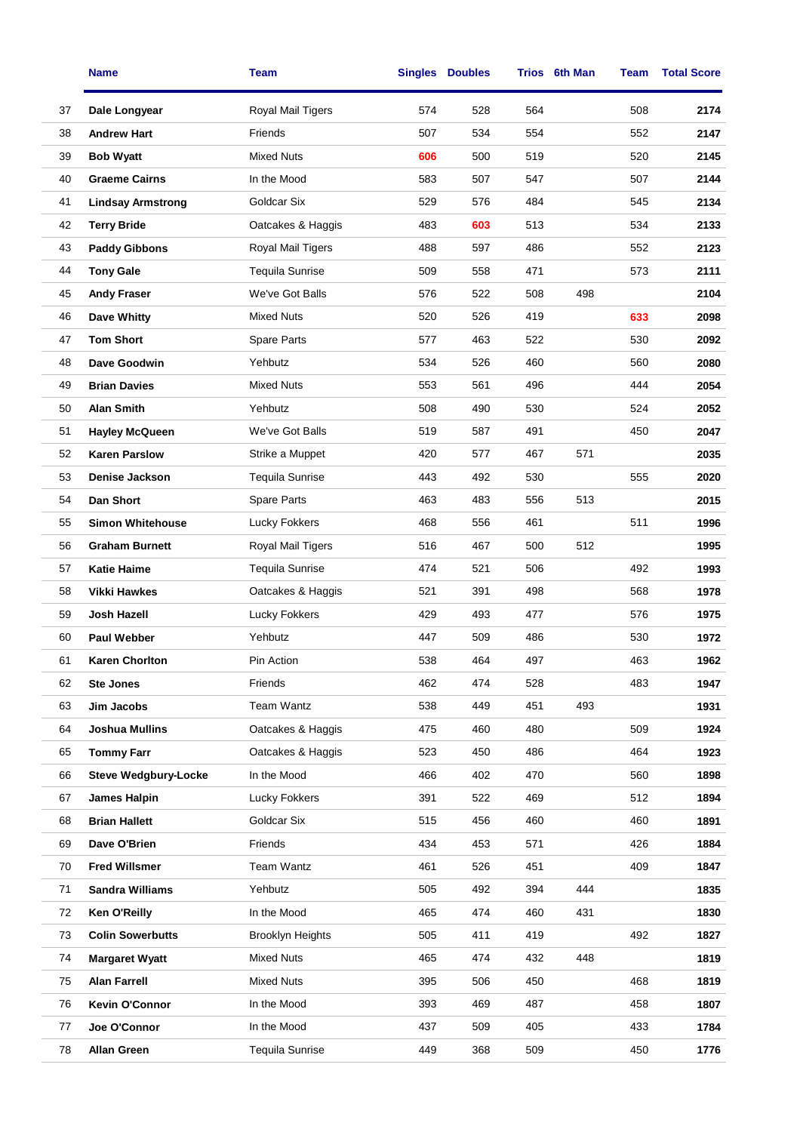|    | <b>Name</b>                 | Team                     |     | <b>Singles Doubles</b> |     | Trios 6th Man | Team | <b>Total Score</b> |
|----|-----------------------------|--------------------------|-----|------------------------|-----|---------------|------|--------------------|
| 37 | Dale Longyear               | Royal Mail Tigers        | 574 | 528                    | 564 |               | 508  | 2174               |
| 38 | <b>Andrew Hart</b>          | Friends                  | 507 | 534                    | 554 |               | 552  | 2147               |
| 39 | <b>Bob Wyatt</b>            | <b>Mixed Nuts</b>        | 606 | 500                    | 519 |               | 520  | 2145               |
| 40 | <b>Graeme Cairns</b>        | In the Mood              | 583 | 507                    | 547 |               | 507  | 2144               |
| 41 | <b>Lindsay Armstrong</b>    | Goldcar Six              | 529 | 576                    | 484 |               | 545  | 2134               |
| 42 | <b>Terry Bride</b>          | Oatcakes & Haggis        | 483 | 603                    | 513 |               | 534  | 2133               |
| 43 | <b>Paddy Gibbons</b>        | <b>Royal Mail Tigers</b> | 488 | 597                    | 486 |               | 552  | 2123               |
| 44 | <b>Tony Gale</b>            | <b>Tequila Sunrise</b>   | 509 | 558                    | 471 |               | 573  | 2111               |
| 45 | <b>Andy Fraser</b>          | We've Got Balls          | 576 | 522                    | 508 | 498           |      | 2104               |
| 46 | Dave Whitty                 | <b>Mixed Nuts</b>        | 520 | 526                    | 419 |               | 633  | 2098               |
| 47 | <b>Tom Short</b>            | Spare Parts              | 577 | 463                    | 522 |               | 530  | 2092               |
| 48 | Dave Goodwin                | Yehbutz                  | 534 | 526                    | 460 |               | 560  | 2080               |
| 49 | <b>Brian Davies</b>         | <b>Mixed Nuts</b>        | 553 | 561                    | 496 |               | 444  | 2054               |
| 50 | <b>Alan Smith</b>           | Yehbutz                  | 508 | 490                    | 530 |               | 524  | 2052               |
| 51 | <b>Hayley McQueen</b>       | We've Got Balls          | 519 | 587                    | 491 |               | 450  | 2047               |
| 52 | <b>Karen Parslow</b>        | Strike a Muppet          | 420 | 577                    | 467 | 571           |      | 2035               |
| 53 | Denise Jackson              | <b>Tequila Sunrise</b>   | 443 | 492                    | 530 |               | 555  | 2020               |
| 54 | Dan Short                   | Spare Parts              | 463 | 483                    | 556 | 513           |      | 2015               |
| 55 | <b>Simon Whitehouse</b>     | Lucky Fokkers            | 468 | 556                    | 461 |               | 511  | 1996               |
| 56 | <b>Graham Burnett</b>       | Royal Mail Tigers        | 516 | 467                    | 500 | 512           |      | 1995               |
| 57 | <b>Katie Haime</b>          | <b>Tequila Sunrise</b>   | 474 | 521                    | 506 |               | 492  | 1993               |
| 58 | <b>Vikki Hawkes</b>         | Oatcakes & Haggis        | 521 | 391                    | 498 |               | 568  | 1978               |
| 59 | Josh Hazell                 | Lucky Fokkers            | 429 | 493                    | 477 |               | 576  | 1975               |
| 60 | <b>Paul Webber</b>          | Yehbutz                  | 447 | 509                    | 486 |               | 530  | 1972               |
| 61 | Karen Chorlton              | Pin Action               | 538 | 464                    | 497 |               | 463  | 1962               |
| 62 | <b>Ste Jones</b>            | Friends                  | 462 | 474                    | 528 |               | 483  | 1947               |
| 63 | Jim Jacobs                  | Team Wantz               | 538 | 449                    | 451 | 493           |      | 1931               |
| 64 | <b>Joshua Mullins</b>       | Oatcakes & Haggis        | 475 | 460                    | 480 |               | 509  | 1924               |
| 65 | <b>Tommy Farr</b>           | Oatcakes & Haggis        | 523 | 450                    | 486 |               | 464  | 1923               |
| 66 | <b>Steve Wedgbury-Locke</b> | In the Mood              | 466 | 402                    | 470 |               | 560  | 1898               |
| 67 | James Halpin                | Lucky Fokkers            | 391 | 522                    | 469 |               | 512  | 1894               |
| 68 | <b>Brian Hallett</b>        | Goldcar Six              | 515 | 456                    | 460 |               | 460  | 1891               |
| 69 | Dave O'Brien                | Friends                  | 434 | 453                    | 571 |               | 426  | 1884               |
| 70 | <b>Fred Willsmer</b>        | Team Wantz               | 461 | 526                    | 451 |               | 409  | 1847               |
| 71 | <b>Sandra Williams</b>      | Yehbutz                  | 505 | 492                    | 394 | 444           |      | 1835               |
| 72 | <b>Ken O'Reilly</b>         | In the Mood              | 465 | 474                    | 460 | 431           |      | 1830               |
| 73 | <b>Colin Sowerbutts</b>     | <b>Brooklyn Heights</b>  | 505 | 411                    | 419 |               | 492  | 1827               |
| 74 | <b>Margaret Wyatt</b>       | <b>Mixed Nuts</b>        | 465 | 474                    | 432 | 448           |      | 1819               |
| 75 | <b>Alan Farrell</b>         | <b>Mixed Nuts</b>        | 395 | 506                    | 450 |               | 468  | 1819               |
| 76 | Kevin O'Connor              | In the Mood              | 393 | 469                    | 487 |               | 458  | 1807               |
| 77 | Joe O'Connor                | In the Mood              | 437 | 509                    | 405 |               | 433  | 1784               |
| 78 | <b>Allan Green</b>          | <b>Tequila Sunrise</b>   | 449 | 368                    | 509 |               | 450  | 1776               |